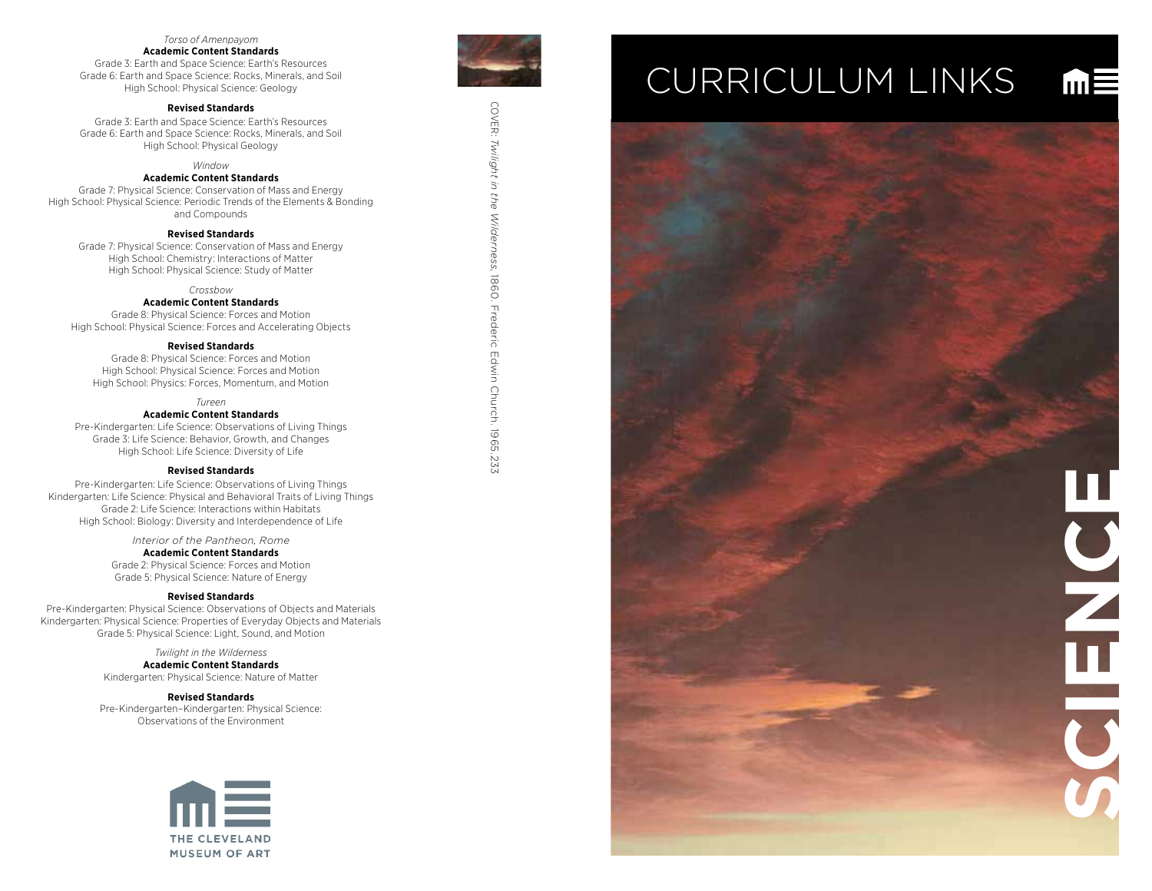# *Torso of Amenpayom*

#### **Academic Content Standards**

Grade 3: Earth and Space Science: Earth's Resources Grade 6: Earth and Space Science: Rocks, Minerals, and Soil High School: Physical Science: Geology

## **Revised Standards**

Grade 3: Earth and Space Science: Earth's Resources Grade 6: Earth and Space Science: Rocks, Minerals, and Soil High School: Physical Geology

*Window*

#### **Academic Content Standards**

Grade 7: Physical Science: Conservation of Mass and Energy High School: Physical Science: Periodic Trends of the Elements & Bonding and Compounds

#### **Revised Standards**

Grade 7: Physical Science: Conservation of Mass and Energy High School: Chemistry: Interactions of Matter High School: Physical Science: Study of Matter

*Crossbow*

# **Academic Content Standards**

Grade 8: Physical Science: Forces and Motion High School: Physical Science: Forces and Accelerating Objects

#### **Revised Standards**

Grade 8: Physical Science: Forces and Motion High School: Physical Science: Forces and Motion High School: Physics: Forces, Momentum, and Motion

*Tureen*

### **Academic Content Standards**

Pre-Kindergarten: Life Science: Observations of Living Things Grade 3: Life Science: Behavior, Growth, and Changes High School: Life Science: Diversity of Life

#### **Revised Standards**

Pre-Kindergarten: Life Science: Observations of Living Things Kindergarten: Life Science: Physical and Behavioral Traits of Living Things Grade 2: Life Science: Interactions within Habitats High School: Biology: Diversity and Interdependence of Life

> *Interior of the Pantheon, Rome* **Academic Content Standards**

Grade 2: Physical Science: Forces and Motion Grade 5: Physical Science: Nature of Energy

#### **Revised Standards**

Pre-Kindergarten: Physical Science: Observations of Objects and Materials Kindergarten: Physical Science: Properties of Everyday Objects and Materials Grade 5: Physical Science: Light, Sound, and Motion

> *Twilight in the Wilderness* **Academic Content Standards** Kindergarten: Physical Science: Nature of Matter

> > **Revised Standards**

Pre-Kindergarten–Kindergarten: Physical Science: Observations of the Environment





COVER:

*Twilight in the Wilderness*

COVER: Twillght in the Wilderness, 1860. Frederic Edwin Church. 1965.233

, 1860. Frederic Edwin Church. 1965.233

# CURRICULUM LINKS

 $m \equiv$